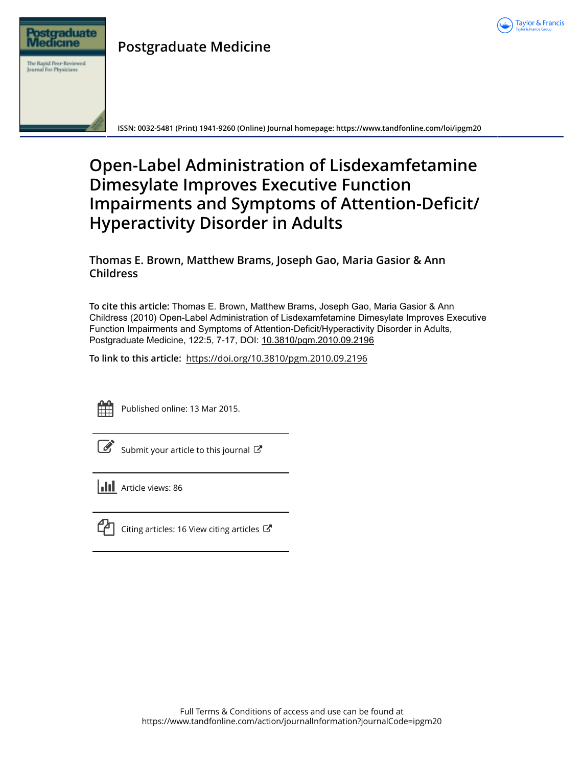

# **Postgraduate Medicine**



**ISSN: 0032-5481 (Print) 1941-9260 (Online) Journal homepage:<https://www.tandfonline.com/loi/ipgm20>**

# **Open-Label Administration of Lisdexamfetamine Dimesylate Improves Executive Function Impairments and Symptoms of Attention-Deficit/ Hyperactivity Disorder in Adults**

# **Thomas E. Brown, Matthew Brams, Joseph Gao, Maria Gasior & Ann Childress**

**To cite this article:** Thomas E. Brown, Matthew Brams, Joseph Gao, Maria Gasior & Ann Childress (2010) Open-Label Administration of Lisdexamfetamine Dimesylate Improves Executive Function Impairments and Symptoms of Attention-Deficit/Hyperactivity Disorder in Adults, Postgraduate Medicine, 122:5, 7-17, DOI: [10.3810/pgm.2010.09.2196](https://www.tandfonline.com/action/showCitFormats?doi=10.3810/pgm.2010.09.2196)

**To link to this article:** <https://doi.org/10.3810/pgm.2010.09.2196>



Published online: 13 Mar 2015.

[Submit your article to this journal](https://www.tandfonline.com/action/authorSubmission?journalCode=ipgm20&show=instructions)  $\mathbb{Z}$ 

**III** Article views: 86



[Citing articles: 16 View citing articles](https://www.tandfonline.com/doi/citedby/10.3810/pgm.2010.09.2196#tabModule)  $\mathbb{Z}$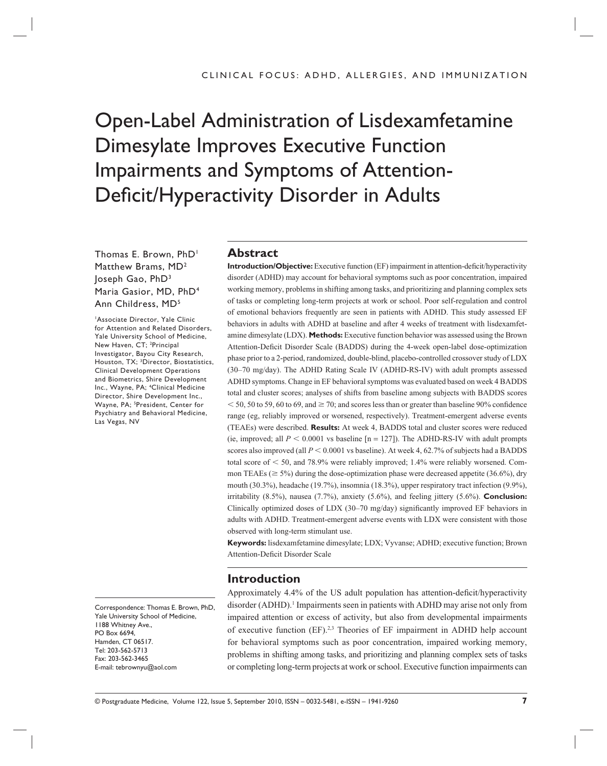# Open-Label Administration of Lisdexamfetamine Dimesylate Improves Executive Function Impairments and Symptoms of Attention-Deficit/Hyperactivity Disorder in Adults

Thomas E. Brown, PhD<sup>1</sup> Matthew Brams, MD2 Joseph Gao, PhD3 Maria Gasior, MD, PhD4 Ann Childress, MD5

1 Associate Director, Yale Clinic for Attention and Related Disorders, Yale University School of Medicine, New Haven, CT; <sup>2</sup>Principal Investigator, Bayou City Research, Houston, TX; 3 Director, Biostatistics, Clinical Development Operations and Biometrics, Shire Development Inc., Wayne, PA; 4 Clinical Medicine Director, Shire Development Inc., Wayne, PA; 5 President, Center for Psychiatry and Behavioral Medicine, Las Vegas, NV

Correspondence: Thomas E. Brown, PhD, Yale University School of Medicine, 1188 Whitney Ave., PO Box 6694, Hamden, CT 06517. Tel: 203-562-5713 Fax: 203-562-3465 E-mail: tebrownyu@aol.com

#### **Abstract**

**Introduction/Objective:** Executive function (EF) impairment in attention-deficit/hyperactivity disorder (ADHD) may account for behavioral symptoms such as poor concentration, impaired working memory, problems in shifting among tasks, and prioritizing and planning complex sets of tasks or completing long-term projects at work or school. Poor self-regulation and control of emotional behaviors frequently are seen in patients with ADHD. This study assessed EF behaviors in adults with ADHD at baseline and after 4 weeks of treatment with lisdexamfetamine dimesylate (LDX). **Methods:** Executive function behavior was assessed using the Brown Attention-Deficit Disorder Scale (BADDS) during the 4-week open-label dose-optimization phase prior to a 2-period, randomized, double-blind, placebo-controlled crossover study of LDX (30–70 mg/day). The ADHD Rating Scale IV (ADHD-RS-IV) with adult prompts assessed ADHD symptoms. Change in EF behavioral symptoms was evaluated based on week 4 BADDS total and cluster scores; analyses of shifts from baseline among subjects with BADDS scores  $<$  50, 50 to 59, 60 to 69, and  $\geq$  70; and scores less than or greater than baseline 90% confidence range (eg, reliably improved or worsened, respectively). Treatment-emergent adverse events (TEAEs) were described. **Results:** At week 4, BADDS total and cluster scores were reduced (ie, improved; all  $P < 0.0001$  vs baseline [n = 127]). The ADHD-RS-IV with adult prompts scores also improved (all  $P < 0.0001$  vs baseline). At week 4, 62.7% of subjects had a BADDS total score of  $\leq 50$ , and 78.9% were reliably improved; 1.4% were reliably worsened. Common TEAEs ( $\geq$  5%) during the dose-optimization phase were decreased appetite (36.6%), dry mouth (30.3%), headache (19.7%), insomnia (18.3%), upper respiratory tract infection (9.9%), irritability (8.5%), nausea (7.7%), anxiety (5.6%), and feeling jittery (5.6%). **Conclusion:** Clinically optimized doses of LDX  $(30-70 \text{ mg/day})$  significantly improved EF behaviors in adults with ADHD. Treatment-emergent adverse events with LDX were consistent with those observed with long-term stimulant use.

**Keywords:** lisdexamfetamine dimesylate; LDX; Vyvanse; ADHD; executive function; Brown Attention-Deficit Disorder Scale

#### **Introduction**

Approximately 4.4% of the US adult population has attention-deficit/hyperactivity disorder (ADHD).<sup>1</sup> Impairments seen in patients with ADHD may arise not only from impaired attention or excess of activity, but also from developmental impairments of executive function (EF).2,3 Theories of EF impairment in ADHD help account for behavioral symptoms such as poor concentration, impaired working memory, problems in shifting among tasks, and prioritizing and planning complex sets of tasks or completing long-term projects at work or school. Executive function impairments can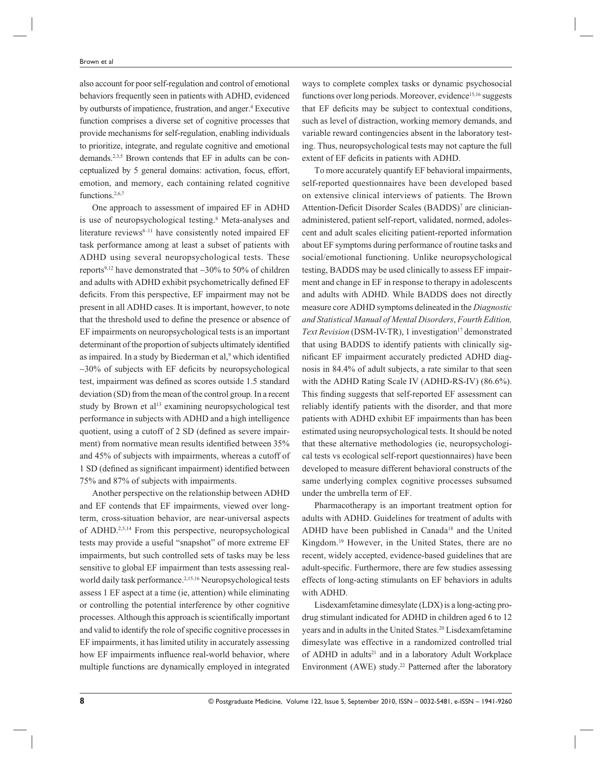also account for poor self-regulation and control of emotional behaviors frequently seen in patients with ADHD, evidenced by outbursts of impatience, frustration, and anger.<sup>4</sup> Executive function comprises a diverse set of cognitive processes that provide mechanisms for self-regulation, enabling individuals to prioritize, integrate, and regulate cognitive and emotional demands.2,3,5 Brown contends that EF in adults can be conceptualized by 5 general domains: activation, focus, effort, emotion, and memory, each containing related cognitive functions.<sup>2,6,7</sup>

One approach to assessment of impaired EF in ADHD is use of neuropsychological testing.<sup>8</sup> Meta-analyses and literature reviews<sup>8-11</sup> have consistently noted impaired EF task performance among at least a subset of patients with ADHD using several neuropsychological tests. These reports9,12 have demonstrated that ∼30% to 50% of children and adults with ADHD exhibit psychometrically defined EF deficits. From this perspective, EF impairment may not be present in all ADHD cases. It is important, however, to note that the threshold used to define the presence or absence of EF impairments on neuropsychological tests is an important determinant of the proportion of subjects ultimately identified as impaired. In a study by Biederman et al,<sup>9</sup> which identified  $~\sim$ 30% of subjects with EF deficits by neuropsychological test, impairment was defined as scores outside 1.5 standard deviation (SD) from the mean of the control group. In a recent study by Brown et al<sup>13</sup> examining neuropsychological test performance in subjects with ADHD and a high intelligence quotient, using a cutoff of 2 SD (defined as severe impairment) from normative mean results identified between 35% and 45% of subjects with impairments, whereas a cutoff of 1 SD (defined as significant impairment) identified between 75% and 87% of subjects with impairments.

Another perspective on the relationship between ADHD and EF contends that EF impairments, viewed over longterm, cross-situation behavior, are near-universal aspects of ADHD.2,5,14 From this perspective, neuropsychological tests may provide a useful "snapshot" of more extreme EF impairments, but such controlled sets of tasks may be less sensitive to global EF impairment than tests assessing realworld daily task performance.<sup>2,15,16</sup> Neuropsychological tests assess 1 EF aspect at a time (ie, attention) while eliminating or controlling the potential interference by other cognitive processes. Although this approach is scientifically important and valid to identify the role of specific cognitive processes in EF impairments, it has limited utility in accurately assessing how EF impairments influence real-world behavior, where multiple functions are dynamically employed in integrated

ways to complete complex tasks or dynamic psychosocial functions over long periods. Moreover, evidence<sup>15,16</sup> suggests that EF deficits may be subject to contextual conditions, such as level of distraction, working memory demands, and variable reward contingencies absent in the laboratory testing. Thus, neuropsychological tests may not capture the full extent of EF deficits in patients with ADHD.

To more accurately quantify EF behavioral impairments, self-reported questionnaires have been developed based on extensive clinical interviews of patients. The Brown Attention-Deficit Disorder Scales (BADDS)<sup>7</sup> are clinicianadministered, patient self-report, validated, normed, adolescent and adult scales eliciting patient-reported information about EF symptoms during performance of routine tasks and social/emotional functioning. Unlike neuropsychological testing, BADDS may be used clinically to assess EF impairment and change in EF in response to therapy in adolescents and adults with ADHD. While BADDS does not directly measure core ADHD symptoms delineated in the *Diagnostic and Statistical Manual of Mental Disorders*, *Fourth Edition, Text Revision* (DSM-IV-TR), 1 investigation<sup>17</sup> demonstrated that using BADDS to identify patients with clinically significant EF impairment accurately predicted ADHD diagnosis in 84.4% of adult subjects, a rate similar to that seen with the ADHD Rating Scale IV (ADHD-RS-IV) (86.6%). This finding suggests that self-reported EF assessment can reliably identify patients with the disorder, and that more patients with ADHD exhibit EF impairments than has been estimated using neuropsychological tests. It should be noted that these alternative methodologies (ie, neuropsychological tests vs ecological self-report questionnaires) have been developed to measure different behavioral constructs of the same underlying complex cognitive processes subsumed under the umbrella term of EF.

Pharmacotherapy is an important treatment option for adults with ADHD. Guidelines for treatment of adults with ADHD have been published in Canada18 and the United Kingdom.19 However, in the United States, there are no recent, widely accepted, evidence-based guidelines that are adult-specific. Furthermore, there are few studies assessing effects of long-acting stimulants on EF behaviors in adults with ADHD.

Lisdexamfetamine dimesylate (LDX) is a long-acting prodrug stimulant indicated for ADHD in children aged 6 to 12 years and in adults in the United States.<sup>20</sup> Lisdexamfetamine dimesylate was effective in a randomized controlled trial of ADHD in adults<sup>21</sup> and in a laboratory Adult Workplace Environment (AWE) study.<sup>22</sup> Patterned after the laboratory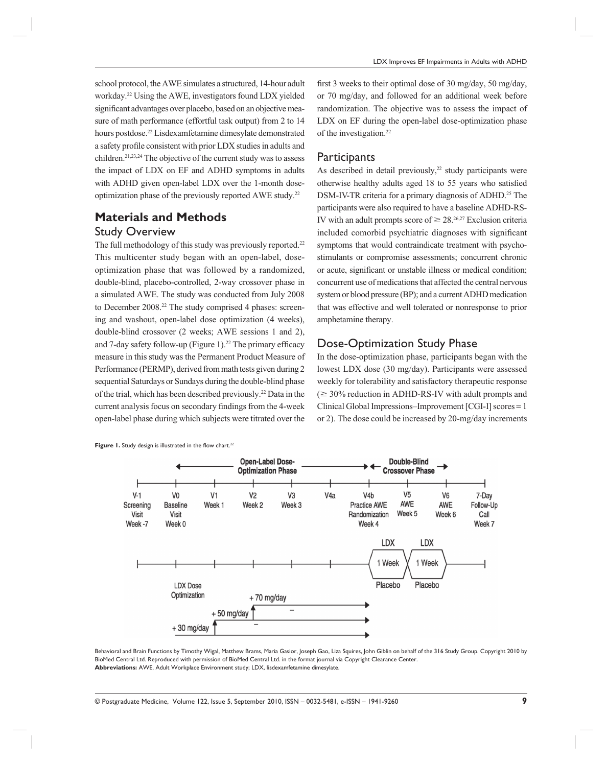school protocol, the AWE simulates a structured, 14-hour adult workday.22 Using the AWE, investigators found LDX yielded significant advantages over placebo, based on an objective measure of math performance (effortful task output) from 2 to 14 hours postdose.22 Lisdexamfetamine dimesylate demonstrated a safety profile consistent with prior LDX studies in adults and children.21,23,24 The objective of the current study was to assess the impact of LDX on EF and ADHD symptoms in adults with ADHD given open-label LDX over the 1-month doseoptimization phase of the previously reported AWE study.22

# **Materials and Methods** Study Overview

The full methodology of this study was previously reported.<sup>22</sup> This multicenter study began with an open-label, doseoptimization phase that was followed by a randomized, double-blind, placebo-controlled, 2-way crossover phase in a simulated AWE. The study was conducted from July 2008 to December 2008.<sup>22</sup> The study comprised 4 phases: screening and washout, open-label dose optimization (4 weeks), double-blind crossover (2 weeks; AWE sessions 1 and 2), and 7-day safety follow-up (Figure 1).<sup>22</sup> The primary efficacy measure in this study was the Permanent Product Measure of Performance (PERMP), derived from math tests given during 2 sequential Saturdays or Sundays during the double-blind phase of the trial, which has been described previously.22 Data in the current analysis focus on secondary findings from the 4-week open-label phase during which subjects were titrated over the

Figure 1. Study design is illustrated in the flow chart.<sup>22</sup>

first 3 weeks to their optimal dose of 30 mg/day, 50 mg/day, or 70 mg/day, and followed for an additional week before randomization. The objective was to assess the impact of LDX on EF during the open-label dose-optimization phase of the investigation.22

#### **Participants**

As described in detail previously,<sup>22</sup> study participants were otherwise healthy adults aged 18 to 55 years who satisfied DSM-IV-TR criteria for a primary diagnosis of ADHD.<sup>25</sup> The participants were also required to have a baseline ADHD-RS-IV with an adult prompts score of  $\geq 28.26,27$  Exclusion criteria included comorbid psychiatric diagnoses with significant symptoms that would contraindicate treatment with psychostimulants or compromise assessments; concurrent chronic or acute, significant or unstable illness or medical condition; concurrent use of medications that affected the central nervous system or blood pressure (BP); and a current ADHD medication that was effective and well tolerated or nonresponse to prior amphetamine therapy.

#### Dose-Optimization Study Phase

In the dose-optimization phase, participants began with the lowest LDX dose (30 mg/day). Participants were assessed weekly for tolerability and satisfactory therapeutic response  $\approx$  30% reduction in ADHD-RS-IV with adult prompts and Clinical Global Impressions–Improvement [CGI-I] scores = 1 or 2). The dose could be increased by 20-mg/day increments



Behavioral and Brain Functions by Timothy Wigal, Matthew Brams, Maria Gasior, Joseph Gao, Liza Squires, John Giblin on behalf of the 316 Study Group. Copyright 2010 by BioMed Central Ltd. Reproduced with permission of BioMed Central Ltd. in the format journal via Copyright Clearance Center. **Abbreviations:** AWE, Adult Workplace Environment study; LDX, lisdexamfetamine dimesylate.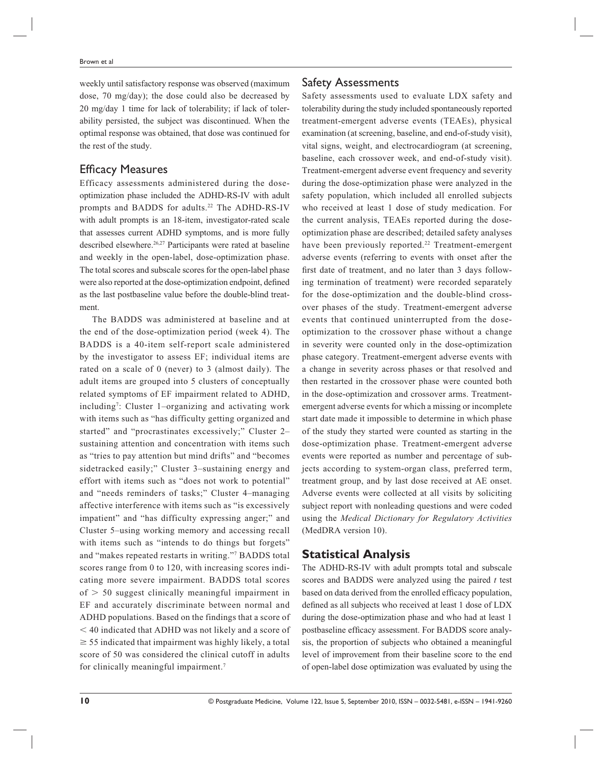weekly until satisfactory response was observed (maximum dose, 70 mg/day); the dose could also be decreased by 20 mg/day 1 time for lack of tolerability; if lack of tolerability persisted, the subject was discontinued. When the optimal response was obtained, that dose was continued for the rest of the study.

#### **Efficacy Measures**

Efficacy assessments administered during the doseoptimization phase included the ADHD-RS-IV with adult prompts and BADDS for adults.<sup>22</sup> The ADHD-RS-IV with adult prompts is an 18-item, investigator-rated scale that assesses current ADHD symptoms, and is more fully described elsewhere.<sup>26,27</sup> Participants were rated at baseline and weekly in the open-label, dose-optimization phase. The total scores and subscale scores for the open-label phase were also reported at the dose-optimization endpoint, defined as the last postbaseline value before the double-blind treatment.

The BADDS was administered at baseline and at the end of the dose-optimization period (week 4). The BADDS is a 40-item self-report scale administered by the investigator to assess EF; individual items are rated on a scale of 0 (never) to 3 (almost daily). The adult items are grouped into 5 clusters of conceptually related symptoms of EF impairment related to ADHD, including7 : Cluster 1–organizing and activating work with items such as "has difficulty getting organized and started" and "procrastinates excessively;" Cluster 2– sustaining attention and concentration with items such as "tries to pay attention but mind drifts" and "becomes sidetracked easily;" Cluster 3–sustaining energy and effort with items such as "does not work to potential" and "needs reminders of tasks;" Cluster 4–managing affective interference with items such as "is excessively impatient" and "has difficulty expressing anger;" and Cluster 5–using working memory and accessing recall with items such as "intends to do things but forgets" and "makes repeated restarts in writing."7 BADDS total scores range from 0 to 120, with increasing scores indicating more severe impairment. BADDS total scores  $of > 50$  suggest clinically meaningful impairment in EF and accurately discriminate between normal and ADHD populations. Based on the findings that a score of - 40 indicated that ADHD was not likely and a score of  $\geq$  55 indicated that impairment was highly likely, a total score of 50 was considered the clinical cutoff in adults for clinically meaningful impairment.<sup>7</sup>

#### Safety Assessments

Safety assessments used to evaluate LDX safety and tolerability during the study included spontaneously reported treatment-emergent adverse events (TEAEs), physical examination (at screening, baseline, and end-of-study visit), vital signs, weight, and electrocardiogram (at screening, baseline, each crossover week, and end-of-study visit). Treatment-emergent adverse event frequency and severity during the dose-optimization phase were analyzed in the safety population, which included all enrolled subjects who received at least 1 dose of study medication. For the current analysis, TEAEs reported during the doseoptimization phase are described; detailed safety analyses have been previously reported.<sup>22</sup> Treatment-emergent adverse events (referring to events with onset after the first date of treatment, and no later than 3 days following termination of treatment) were recorded separately for the dose-optimization and the double-blind crossover phases of the study. Treatment-emergent adverse events that continued uninterrupted from the doseoptimization to the crossover phase without a change in severity were counted only in the dose-optimization phase category. Treatment-emergent adverse events with a change in severity across phases or that resolved and then restarted in the crossover phase were counted both in the dose-optimization and crossover arms. Treatmentemergent adverse events for which a missing or incomplete start date made it impossible to determine in which phase of the study they started were counted as starting in the dose-optimization phase. Treatment-emergent adverse events were reported as number and percentage of subjects according to system-organ class, preferred term, treatment group, and by last dose received at AE onset. Adverse events were collected at all visits by soliciting subject report with nonleading questions and were coded using the *Medical Dictionary for Regulatory Activities* (MedDRA version 10).

# **Statistical Analysis**

The ADHD-RS-IV with adult prompts total and subscale scores and BADDS were analyzed using the paired *t* test based on data derived from the enrolled efficacy population, defined as all subjects who received at least 1 dose of LDX during the dose-optimization phase and who had at least 1 postbaseline efficacy assessment. For BADDS score analysis, the proportion of subjects who obtained a meaningful level of improvement from their baseline score to the end of open-label dose optimization was evaluated by using the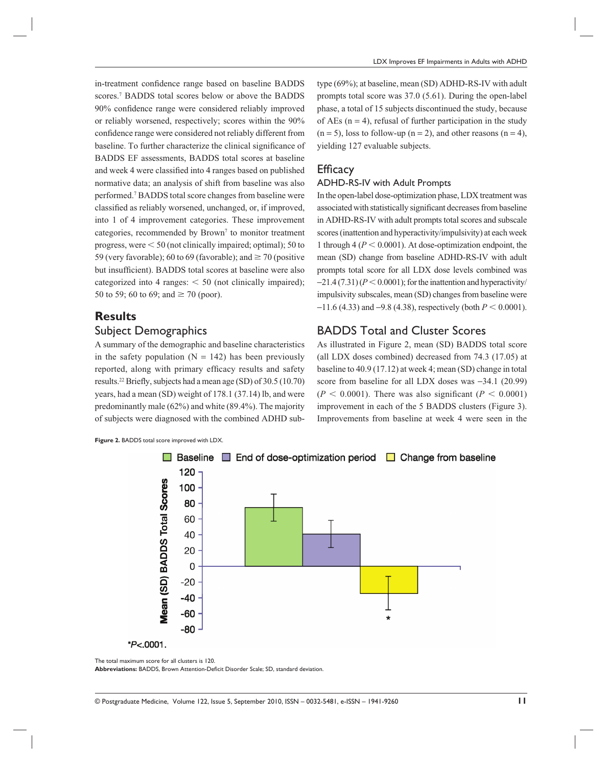in-treatment confidence range based on baseline BADDS scores.7 BADDS total scores below or above the BADDS 90% confidence range were considered reliably improved or reliably worsened, respectively; scores within the 90% confidence range were considered not reliably different from baseline. To further characterize the clinical significance of BADDS EF assessments, BADDS total scores at baseline and week 4 were classified into 4 ranges based on published normative data; an analysis of shift from baseline was also performed.7 BADDS total score changes from baseline were classified as reliably worsened, unchanged, or, if improved, into 1 of 4 improvement categories. These improvement categories, recommended by Brown<sup>7</sup> to monitor treatment progress, were  $\leq 50$  (not clinically impaired; optimal); 50 to 59 (very favorable); 60 to 69 (favorable); and  $\geq$  70 (positive but insufficient). BADDS total scores at baseline were also categorized into 4 ranges:  $\leq 50$  (not clinically impaired); 50 to 59; 60 to 69; and  $\geq$  70 (poor).

# **Results** Subject Demographics

A summary of the demographic and baseline characteristics in the safety population  $(N = 142)$  has been previously reported, along with primary efficacy results and safety results.<sup>22</sup> Briefly, subjects had a mean age (SD) of  $30.5(10.70)$ years, had a mean (SD) weight of 178.1 (37.14) lb, and were predominantly male (62%) and white (89.4%). The majority of subjects were diagnosed with the combined ADHD subtype (69%); at baseline, mean (SD) ADHD-RS-IV with adult prompts total score was 37.0 (5.61). During the open-label phase, a total of 15 subjects discontinued the study, because of AEs  $(n = 4)$ , refusal of further participation in the study  $(n = 5)$ , loss to follow-up  $(n = 2)$ , and other reasons  $(n = 4)$ , yielding 127 evaluable subjects.

#### **Efficacy**

#### ADHD-RS-IV with Adult Prompts

In the open-label dose-optimization phase, LDX treatment was associated with statistically significant decreases from baseline in ADHD-RS-IV with adult prompts total scores and subscale scores (inattention and hyperactivity/impulsivity) at each week 1 through  $4 (P < 0.0001)$ . At dose-optimization endpoint, the mean (SD) change from baseline ADHD-RS-IV with adult prompts total score for all LDX dose levels combined was  $-21.4(7.31)(P \le 0.0001)$ ; for the inattention and hyperactivity/ impulsivity subscales, mean (SD) changes from baseline were  $-11.6$  (4.33) and  $-9.8$  (4.38), respectively (both  $P < 0.0001$ ).

#### BADDS Total and Cluster Scores

As illustrated in Figure 2, mean (SD) BADDS total score (all LDX doses combined) decreased from 74.3 (17.05) at baseline to 40.9 (17.12) at week 4; mean (SD) change in total score from baseline for all LDX doses was −34.1 (20.99)  $(P < 0.0001)$ . There was also significant  $(P < 0.0001)$ improvement in each of the 5 BADDS clusters (Figure 3). Improvements from baseline at week 4 were seen in the

**Figure 2.** BADDS total score improved with LDX.



The total maximum score for all clusters is 120.

Abbreviations: BADDS, Brown Attention-Deficit Disorder Scale; SD, standard deviation.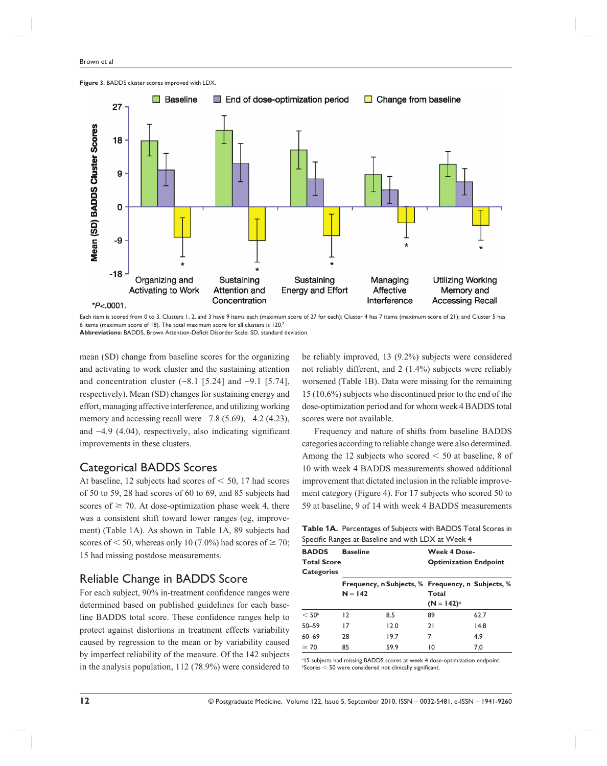

**Figure 3.** BADDS cluster scores improved with LDX.

Each item is scored from 0 to 3. Clusters 1, 2, and 3 have 9 items each (maximum score of 27 for each); Cluster 4 has 7 items (maximum score of 21); and Cluster 5 has 6 items (maximum score of 18). The total maximum score for all clusters is 120.7

Abbreviations: BADDS, Brown Attention-Deficit Disorder Scale; SD, standard deviation.

mean (SD) change from baseline scores for the organizing and activating to work cluster and the sustaining attention and concentration cluster  $(-8.1 \, [5.24]$  and  $-9.1 \, [5.74]$ , respectively). Mean (SD) changes for sustaining energy and effort, managing affective interference, and utilizing working memory and accessing recall were  $-7.8$  (5.69),  $-4.2$  (4.23), and −4.9 (4.04), respectively, also indicating significant improvements in these clusters.

#### Categorical BADDS Scores

At baseline, 12 subjects had scores of  $\leq 50$ , 17 had scores of 50 to 59, 28 had scores of 60 to 69, and 85 subjects had scores of  $\geq$  70. At dose-optimization phase week 4, there was a consistent shift toward lower ranges (eg, improvement) (Table 1A). As shown in Table 1A, 89 subjects had scores of  $\leq 50$ , whereas only 10 (7.0%) had scores of  $\geq 70$ ; 15 had missing postdose measurements.

#### Reliable Change in BADDS Score

For each subject, 90% in-treatment confidence ranges were determined based on published guidelines for each baseline BADDS total score. These confidence ranges help to protect against distortions in treatment effects variability caused by regression to the mean or by variability caused by imperfect reliability of the measure. Of the 142 subjects in the analysis population, 112 (78.9%) were considered to be reliably improved, 13 (9.2%) subjects were considered not reliably different, and 2 (1.4%) subjects were reliably worsened (Table 1B). Data were missing for the remaining 15 (10.6%) subjects who discontinued prior to the end of the dose-optimization period and for whom week 4 BADDS total scores were not available.

Frequency and nature of shifts from baseline BADDS categories according to reliable change were also determined. Among the 12 subjects who scored  $\leq 50$  at baseline, 8 of 10 with week 4 BADDS measurements showed additional improvement that dictated inclusion in the reliable improvement category (Figure 4). For 17 subjects who scored 50 to 59 at baseline, 9 of 14 with week 4 BADDS measurements

**Table 1A.** Percentages of Subjects with BADDS Total Scores in Specific Ranges at Baseline and with LDX at Week 4

| <b>BADDS</b>       | <b>Baseline</b> |      | <b>Week 4 Dose-</b>          |                                                   |  |  |
|--------------------|-----------------|------|------------------------------|---------------------------------------------------|--|--|
| <b>Total Score</b> |                 |      | <b>Optimization Endpoint</b> |                                                   |  |  |
| <b>Categories</b>  |                 |      |                              |                                                   |  |  |
|                    |                 |      |                              | Frequency, n Subjects, % Frequency, n Subjects, % |  |  |
|                    | $N = 142$       |      | Total                        |                                                   |  |  |
|                    |                 |      |                              | $(N = 142)^{a}$                                   |  |  |
| < 50 <sup>b</sup>  | 12              | 8.5  | 89                           | 62.7                                              |  |  |
| $50 - 59$          | 17              | 12.0 | 21                           | 14.8                                              |  |  |
| $60 - 69$          | 28              | 19.7 | 7                            | 4.9                                               |  |  |
| $\geq 70$          | 85              | 59.9 | 10                           | 7.0                                               |  |  |

<sup>a</sup>15 subjects had missing BADDS scores at week 4 dose-optimization endpoint.  $b$ Scores  $<$  50 were considered not clinically significant.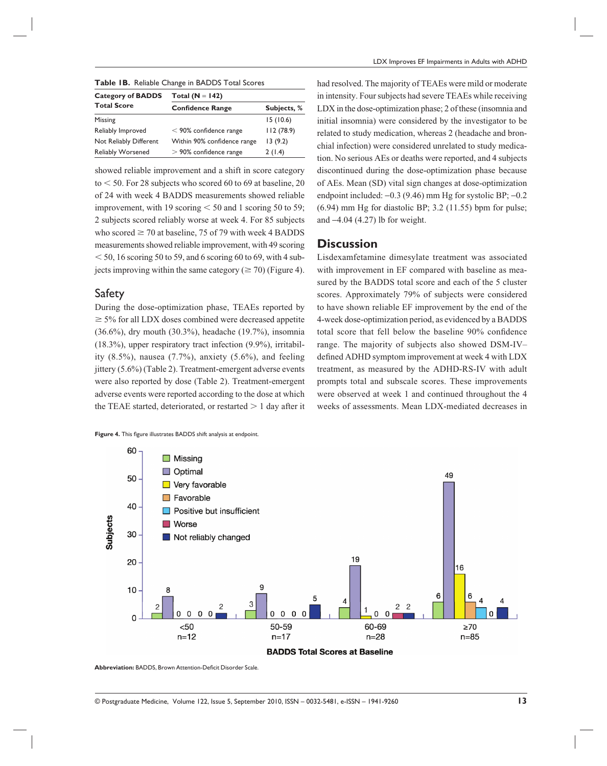| Table IB. Reliable Change in BADDS Total Scores |  |
|-------------------------------------------------|--|
|-------------------------------------------------|--|

| <b>Category of BADDS</b> | Total ( $N = 142$ )         |             |  |  |
|--------------------------|-----------------------------|-------------|--|--|
| <b>Total Score</b>       | <b>Confidence Range</b>     | Subjects, % |  |  |
| Missing                  |                             | 15(10.6)    |  |  |
| Reliably Improved        | $<$ 90% confidence range    | 112(78.9)   |  |  |
| Not Reliably Different   | Within 90% confidence range | 13(9.2)     |  |  |
| <b>Reliably Worsened</b> | $>$ 90% confidence range    | 2(1.4)      |  |  |

showed reliable improvement and a shift in score category  $to < 50$ . For 28 subjects who scored 60 to 69 at baseline, 20 of 24 with week 4 BADDS measurements showed reliable improvement, with 19 scoring  $\leq 50$  and 1 scoring 50 to 59; 2 subjects scored reliably worse at week 4. For 85 subjects who scored  $\geq$  70 at baseline, 75 of 79 with week 4 BADDS measurements showed reliable improvement, with 49 scoring  $<$  50, 16 scoring 50 to 59, and 6 scoring 60 to 69, with 4 subjects improving within the same category ( $\geq$  70) (Figure 4).

#### Safety

During the dose-optimization phase, TEAEs reported by  $\geq$  5% for all LDX doses combined were decreased appetite (36.6%), dry mouth (30.3%), headache (19.7%), insomnia (18.3%), upper respiratory tract infection (9.9%), irritability  $(8.5\%)$ , nausea  $(7.7\%)$ , anxiety  $(5.6\%)$ , and feeling jittery (5.6%) (Table 2). Treatment-emergent adverse events were also reported by dose (Table 2). Treatment-emergent adverse events were reported according to the dose at which the TEAE started, deteriorated, or restarted  $> 1$  day after it

**Figure 4.** This figure illustrates BADDS shift analysis at endpoint.

had resolved. The majority of TEAEs were mild or moderate in intensity. Four subjects had severe TEAEs while receiving LDX in the dose-optimization phase; 2 of these (insomnia and initial insomnia) were considered by the investigator to be related to study medication, whereas 2 (headache and bronchial infection) were considered unrelated to study medication. No serious AEs or deaths were reported, and 4 subjects discontinued during the dose-optimization phase because of AEs. Mean (SD) vital sign changes at dose-optimization endpoint included: −0.3 (9.46) mm Hg for systolic BP; −0.2  $(6.94)$  mm Hg for diastolic BP; 3.2  $(11.55)$  bpm for pulse; and −4.04 (4.27) lb for weight.

#### **Discussion**

Lisdexamfetamine dimesylate treatment was associated with improvement in EF compared with baseline as measured by the BADDS total score and each of the 5 cluster scores. Approximately 79% of subjects were considered to have shown reliable EF improvement by the end of the 4-week dose-optimization period, as evidenced by a BADDS total score that fell below the baseline 90% confidence range. The majority of subjects also showed DSM-IV*–* defined ADHD symptom improvement at week 4 with LDX treatment, as measured by the ADHD-RS-IV with adult prompts total and subscale scores. These improvements were observed at week 1 and continued throughout the 4 weeks of assessments. Mean LDX-mediated decreases in



**Abbreviation: BADDS, Brown Attention-Deficit Disorder Scale.**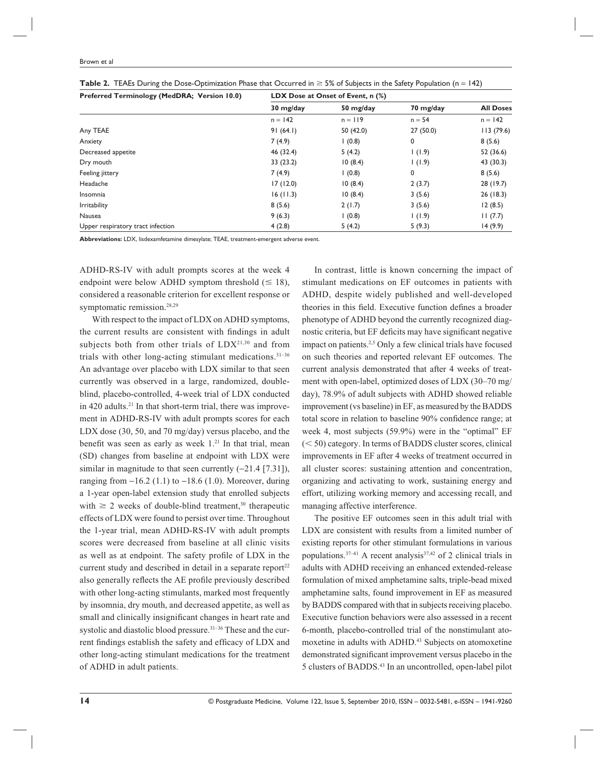| Preferred Terminology (MedDRA; Version 10.0) | LDX Dose at Onset of Event, n (%) |           |           |                  |  |
|----------------------------------------------|-----------------------------------|-----------|-----------|------------------|--|
|                                              | 30 mg/day                         | 50 mg/day | 70 mg/day | <b>All Doses</b> |  |
|                                              | $n = 142$                         | $n = 119$ | $n = 54$  | $n = 142$        |  |
| Any TEAE                                     | 91(64.1)                          | 50(42.0)  | 27(50.0)  | 113(79.6)        |  |
| Anxiety                                      | 7(4.9)                            | (0.8)     | 0         | 8(5.6)           |  |
| Decreased appetite                           | 46 (32.4)                         | 5(4.2)    | (1.9)     | 52 (36.6)        |  |
| Dry mouth                                    | 33(23.2)                          | 10(8.4)   | (1.9)     | 43 (30.3)        |  |
| Feeling jittery                              | 7(4.9)                            | (0.8)     | 0         | 8(5.6)           |  |
| Headache                                     | 17(12.0)                          | 10(8.4)   | 2(3.7)    | 28(19.7)         |  |
| Insomnia                                     | 16(11.3)                          | 10(8.4)   | 3(5.6)    | 26(18.3)         |  |
| <b>Irritability</b>                          | 8(5.6)                            | 2(1.7)    | 3(5.6)    | 12(8.5)          |  |
| Nausea                                       | 9(6.3)                            | (0.8)     | (1.9)     | 11(7.7)          |  |
| Upper respiratory tract infection            | 4(2.8)                            | 5(4.2)    | 5(9.3)    | 14(9.9)          |  |

|  |  |  | <b>Table 2.</b> TEAEs During the Dose-Optimization Phase that Occurred in $\geq$ 5% of Subjects in the Safety Population (n = 142) |  |  |  |
|--|--|--|------------------------------------------------------------------------------------------------------------------------------------|--|--|--|
|--|--|--|------------------------------------------------------------------------------------------------------------------------------------|--|--|--|

**Abbreviations:** LDX, lisdexamfetamine dimesylate; TEAE, treatment-emergent adverse event.

ADHD-RS-IV with adult prompts scores at the week 4 endpoint were below ADHD symptom threshold  $(\leq 18)$ , considered a reasonable criterion for excellent response or symptomatic remission.<sup>28,29</sup>

With respect to the impact of LDX on ADHD symptoms, the current results are consistent with findings in adult subjects both from other trials of LDX<sup>21,30</sup> and from trials with other long-acting stimulant medications.31–36 An advantage over placebo with LDX similar to that seen currently was observed in a large, randomized, doubleblind, placebo-controlled, 4-week trial of LDX conducted in 420 adults. $21$  In that short-term trial, there was improvement in ADHD-RS-IV with adult prompts scores for each LDX dose (30, 50, and 70 mg/day) versus placebo, and the benefit was seen as early as week  $1.^{21}$  In that trial, mean (SD) changes from baseline at endpoint with LDX were similar in magnitude to that seen currently (−21.4 [7.31]), ranging from  $-16.2$  (1.1) to  $-18.6$  (1.0). Moreover, during a 1-year open-label extension study that enrolled subjects with  $\geq 2$  weeks of double-blind treatment,<sup>30</sup> therapeutic effects of LDX were found to persist over time. Throughout the 1-year trial, mean ADHD-RS-IV with adult prompts scores were decreased from baseline at all clinic visits as well as at endpoint. The safety profile of LDX in the current study and described in detail in a separate report $22$ also generally reflects the AE profile previously described with other long-acting stimulants, marked most frequently by insomnia, dry mouth, and decreased appetite, as well as small and clinically insignificant changes in heart rate and systolic and diastolic blood pressure.<sup>31-36</sup> These and the current findings establish the safety and efficacy of LDX and other long-acting stimulant medications for the treatment of ADHD in adult patients.

In contrast, little is known concerning the impact of stimulant medications on EF outcomes in patients with ADHD, despite widely published and well-developed theories in this field. Executive function defines a broader phenotype of ADHD beyond the currently recognized diagnostic criteria, but EF deficits may have significant negative impact on patients.2,5 Only a few clinical trials have focused on such theories and reported relevant EF outcomes. The current analysis demonstrated that after 4 weeks of treatment with open-label, optimized doses of LDX (30–70 mg/ day), 78.9% of adult subjects with ADHD showed reliable improvement (vs baseline) in EF, as measured by the BADDS total score in relation to baseline 90% confidence range; at week 4, most subjects (59.9%) were in the "optimal" EF  $(< 50)$  category. In terms of BADDS cluster scores, clinical improvements in EF after 4 weeks of treatment occurred in all cluster scores: sustaining attention and concentration, organizing and activating to work, sustaining energy and effort, utilizing working memory and accessing recall, and managing affective interference.

The positive EF outcomes seen in this adult trial with LDX are consistent with results from a limited number of existing reports for other stimulant formulations in various populations.<sup>37-41</sup> A recent analysis<sup>37,42</sup> of 2 clinical trials in adults with ADHD receiving an enhanced extended-release formulation of mixed amphetamine salts, triple-bead mixed amphetamine salts, found improvement in EF as measured by BADDS compared with that in subjects receiving placebo. Executive function behaviors were also assessed in a recent 6-month, placebo-controlled trial of the nonstimulant atomoxetine in adults with ADHD.<sup>43</sup> Subjects on atomoxetine demonstrated significant improvement versus placebo in the 5 clusters of BADDS.43 In an uncontrolled, open-label pilot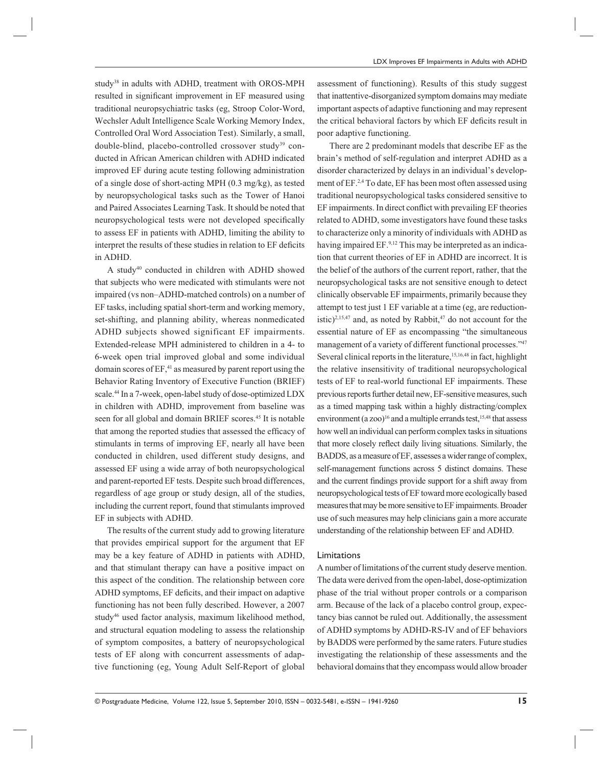study<sup>38</sup> in adults with ADHD, treatment with OROS-MPH resulted in significant improvement in EF measured using traditional neuropsychiatric tasks (eg, Stroop Color-Word, Wechsler Adult Intelligence Scale Working Memory Index, Controlled Oral Word Association Test). Similarly, a small, double-blind, placebo-controlled crossover study<sup>39</sup> conducted in African American children with ADHD indicated improved EF during acute testing following administration of a single dose of short-acting MPH (0.3 mg/kg), as tested by neuropsychological tasks such as the Tower of Hanoi and Paired Associates Learning Task. It should be noted that neuropsychological tests were not developed specifically to assess EF in patients with ADHD, limiting the ability to interpret the results of these studies in relation to EF deficits in ADHD.

A study<sup>40</sup> conducted in children with ADHD showed that subjects who were medicated with stimulants were not impaired (vs non–ADHD-matched controls) on a number of EF tasks, including spatial short-term and working memory, set-shifting, and planning ability, whereas nonmedicated ADHD subjects showed significant EF impairments. Extended-release MPH administered to children in a 4- to 6-week open trial improved global and some individual domain scores of  $EF$ ,<sup>41</sup> as measured by parent report using the Behavior Rating Inventory of Executive Function (BRIEF) scale.44 In a 7-week, open-label study of dose-optimized LDX in children with ADHD, improvement from baseline was seen for all global and domain BRIEF scores.<sup>45</sup> It is notable that among the reported studies that assessed the efficacy of stimulants in terms of improving EF, nearly all have been conducted in children, used different study designs, and assessed EF using a wide array of both neuropsychological and parent-reported EF tests. Despite such broad differences, regardless of age group or study design, all of the studies, including the current report, found that stimulants improved EF in subjects with ADHD.

The results of the current study add to growing literature that provides empirical support for the argument that EF may be a key feature of ADHD in patients with ADHD, and that stimulant therapy can have a positive impact on this aspect of the condition. The relationship between core ADHD symptoms, EF deficits, and their impact on adaptive functioning has not been fully described. However, a 2007 study<sup>46</sup> used factor analysis, maximum likelihood method, and structural equation modeling to assess the relationship of symptom composites, a battery of neuropsychological tests of EF along with concurrent assessments of adaptive functioning (eg, Young Adult Self-Report of global

assessment of functioning). Results of this study suggest that inattentive-disorganized symptom domains may mediate important aspects of adaptive functioning and may represent the critical behavioral factors by which EF deficits result in poor adaptive functioning.

There are 2 predominant models that describe EF as the brain's method of self-regulation and interpret ADHD as a disorder characterized by delays in an individual's development of EF.2,4 To date, EF has been most often assessed using traditional neuropsychological tasks considered sensitive to EF impairments. In direct conflict with prevailing EF theories related to ADHD, some investigators have found these tasks to characterize only a minority of individuals with ADHD as having impaired EF.<sup>9,12</sup> This may be interpreted as an indication that current theories of EF in ADHD are incorrect. It is the belief of the authors of the current report, rather, that the neuropsychological tasks are not sensitive enough to detect clinically observable EF impairments, primarily because they attempt to test just 1 EF variable at a time (eg, are reductionistic)<sup>2,15,47</sup> and, as noted by Rabbit, $47$  do not account for the essential nature of EF as encompassing "the simultaneous management of a variety of different functional processes."47 Several clinical reports in the literature,<sup>15,16,48</sup> in fact, highlight the relative insensitivity of traditional neuropsychological tests of EF to real-world functional EF impairments. These previous reports further detail new, EF-sensitive measures, such as a timed mapping task within a highly distracting/complex environment (a zoo)<sup>16</sup> and a multiple errands test,<sup>15,48</sup> that assess how well an individual can perform complex tasks in situations that more closely reflect daily living situations. Similarly, the BADDS, as a measure of EF, assesses a wider range of complex, self-management functions across 5 distinct domains. These and the current findings provide support for a shift away from neuropsychological tests of EF toward more ecologically based measures that may be more sensitive to EF impairments. Broader use of such measures may help clinicians gain a more accurate understanding of the relationship between EF and ADHD.

#### Limitations

A number of limitations of the current study deserve mention. The data were derived from the open-label, dose-optimization phase of the trial without proper controls or a comparison arm. Because of the lack of a placebo control group, expectancy bias cannot be ruled out. Additionally, the assessment of ADHD symptoms by ADHD-RS-IV and of EF behaviors by BADDS were performed by the same raters. Future studies investigating the relationship of these assessments and the behavioral domains that they encompass would allow broader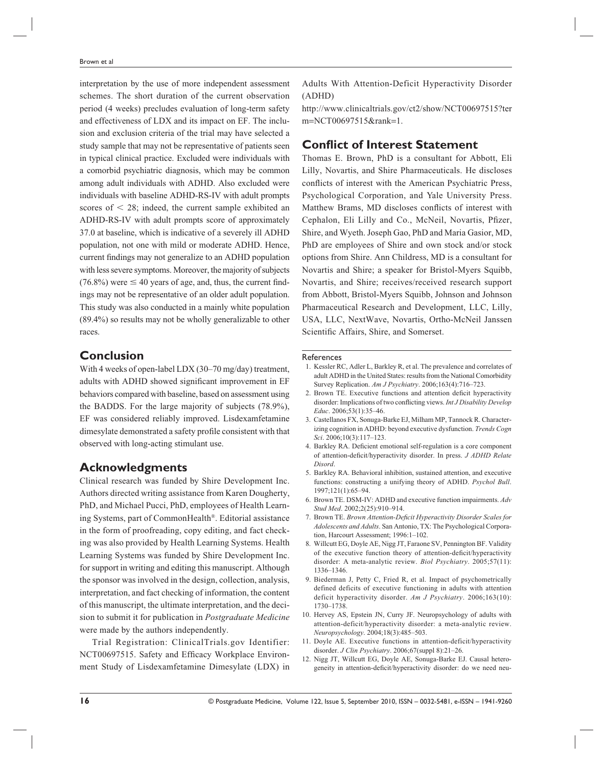interpretation by the use of more independent assessment schemes. The short duration of the current observation period (4 weeks) precludes evaluation of long-term safety and effectiveness of LDX and its impact on EF. The inclusion and exclusion criteria of the trial may have selected a study sample that may not be representative of patients seen in typical clinical practice. Excluded were individuals with a comorbid psychiatric diagnosis, which may be common among adult individuals with ADHD. Also excluded were individuals with baseline ADHD-RS-IV with adult prompts scores of  $\leq$  28; indeed, the current sample exhibited an ADHD-RS-IV with adult prompts score of approximately 37.0 at baseline, which is indicative of a severely ill ADHD population, not one with mild or moderate ADHD. Hence, current findings may not generalize to an ADHD population with less severe symptoms. Moreover, the majority of subjects  $(76.8\%)$  were  $\leq 40$  years of age, and, thus, the current findings may not be representative of an older adult population. This study was also conducted in a mainly white population (89.4%) so results may not be wholly generalizable to other races.

## **Conclusion**

With 4 weeks of open-label LDX (30–70 mg/day) treatment, adults with ADHD showed significant improvement in EF behaviors compared with baseline, based on assessment using the BADDS. For the large majority of subjects (78.9%), EF was considered reliably improved. Lisdexamfetamine dimesylate demonstrated a safety profile consistent with that observed with long-acting stimulant use.

## **Acknowledgments**

Clinical research was funded by Shire Development Inc. Authors directed writing assistance from Karen Dougherty, PhD, and Michael Pucci, PhD, employees of Health Learning Systems, part of CommonHealth®. Editorial assistance in the form of proofreading, copy editing, and fact checking was also provided by Health Learning Systems. Health Learning Systems was funded by Shire Development Inc. for support in writing and editing this manuscript. Although the sponsor was involved in the design, collection, analysis, interpretation, and fact checking of information, the content of this manuscript, the ultimate interpretation, and the decision to submit it for publication in *Postgraduate Medicine* were made by the authors independently.

Trial Registration: ClinicalTrials.gov Identifier: NCT00697515. Safety and Efficacy Workplace Environment Study of Lisdexamfetamine Dimesylate (LDX) in Adults With Attention-Deficit Hyperactivity Disorder (ADHD)

http://www.clinicaltrials.gov/ct2/show/NCT00697515?ter m=NCT00697515&rank=1.

### **Conflict of Interest Statement**

Thomas E. Brown, PhD is a consultant for Abbott, Eli Lilly, Novartis, and Shire Pharmaceuticals. He discloses conflicts of interest with the American Psychiatric Press, Psychological Corporation, and Yale University Press. Matthew Brams, MD discloses conflicts of interest with Cephalon, Eli Lilly and Co., McNeil, Novartis, Pfizer, Shire, and Wyeth. Joseph Gao, PhD and Maria Gasior, MD, PhD are employees of Shire and own stock and/or stock options from Shire. Ann Childress, MD is a consultant for Novartis and Shire; a speaker for Bristol-Myers Squibb, Novartis, and Shire; receives/received research support from Abbott, Bristol-Myers Squibb, Johnson and Johnson Pharmaceutical Research and Development, LLC, Lilly, USA, LLC, NextWave, Novartis, Ortho-McNeil Janssen Scientific Affairs, Shire, and Somerset.

#### References

- 1. Kessler RC, Adler L, Barkley R, et al. The prevalence and correlates of adult ADHD in the United States: results from the National Comorbidity Survey Replication. *Am J Psychiatry*. 2006;163(4):716–723.
- 2. Brown TE. Executive functions and attention deficit hyperactivity disorder: Implications of two conflicting views. *Int J Disability Develop Educ*. 2006;53(1):35–46.
- 3. Castellanos FX, Sonuga-Barke EJ, Milham MP, Tannock R. Characterizing cognition in ADHD: beyond executive dysfunction. *Trends Cogn Sci*. 2006;10(3):117–123.
- 4. Barkley RA. Deficient emotional self-regulation is a core component of attention-deficit/hyperactivity disorder. In press. *J ADHD Relate Disord*.
- 5. Barkley RA. Behavioral inhibition, sustained attention, and executive functions: constructing a unifying theory of ADHD. *Psychol Bull*. 1997;121(1):65–94.
- 6. Brown TE. DSM-IV: ADHD and executive function impairments. *Adv Stud Med*. 2002;2(25):910–914.
- 7. Brown TE. *Brown Attention-Deficit Hyperactivity Disorder Scales for Adolescents and Adults*. San Antonio, TX: The Psychological Corporation, Harcourt Assessment; 1996:1–102.
- 8. Willcutt EG, Doyle AE, Nigg JT, Faraone SV, Pennington BF. Validity of the executive function theory of attention-deficit/hyperactivity disorder: A meta-analytic review. *Biol Psychiatry*. 2005;57(11): 1336–1346.
- 9. Biederman J, Petty C, Fried R, et al. Impact of psychometrically defined deficits of executive functioning in adults with attention deficit hyperactivity disorder. *Am J Psychiatry*. 2006;163(10): 1730–1738.
- 10. Hervey AS, Epstein JN, Curry JF. Neuropsychology of adults with attention-deficit/hyperactivity disorder: a meta-analytic review. *Neuropsychology*. 2004;18(3):485–503.
- 11. Doyle AE. Executive functions in attention-deficit/hyperactivity disorder. *J Clin Psychiatry*. 2006;67(suppl 8):21–26.
- 12. Nigg JT, Willcutt EG, Doyle AE, Sonuga-Barke EJ. Causal heterogeneity in attention-deficit/hyperactivity disorder: do we need neu-